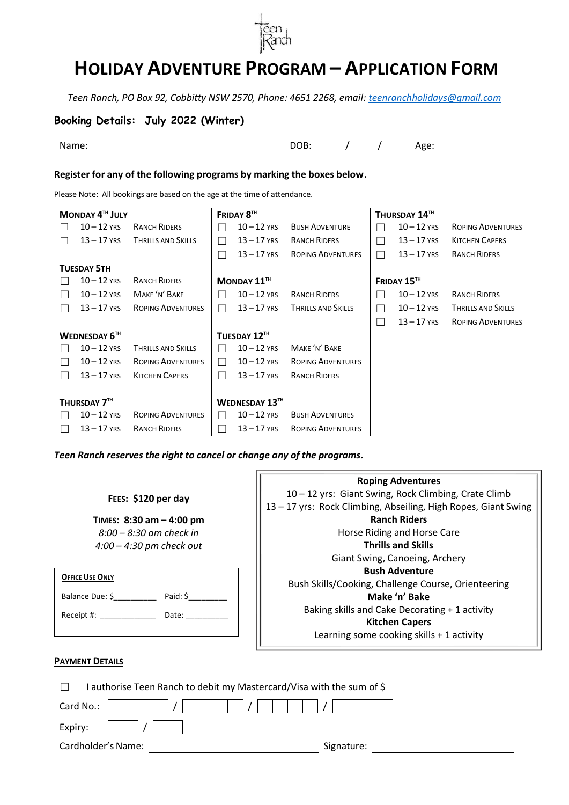

# **HOLIDAY ADVENTURE PROGRAM – APPLICATION FORM**

*Teen Ranch, PO Box 92, Cobbitty NSW 2570, Phone: 4651 2268, email: [teenranchholidays@gmail.com](mailto:teenranchholidays@gmail.com)*

## **Booking Details: July 2022 (Winter)**

Name: DOB: / / Age:

**Register for any of the following programs by marking the boxes below.**

Please Note: All bookings are based on the age at the time of attendance.

|              | MONDAY 4TH JULY      |                           |                          | FRIDAY 8TH                |                           |                          | THURSDAY 14™  |                           |
|--------------|----------------------|---------------------------|--------------------------|---------------------------|---------------------------|--------------------------|---------------|---------------------------|
|              | $10 - 12$ YRS        | <b>RANCH RIDERS</b>       | ×.                       | $10 - 12$ YRS             | <b>BUSH ADVENTURE</b>     |                          | $10 - 12$ YRS | <b>ROPING ADVENTURES</b>  |
|              | $13 - 17$ YRS        | <b>THRILLS AND SKILLS</b> | ×.                       | $13 - 17$ YRS             | <b>RANCH RIDERS</b>       | n l                      | $13 - 17$ YRS | <b>KITCHEN CAPERS</b>     |
|              |                      |                           | $\overline{\phantom{a}}$ | $13 - 17$ YRS             | <b>ROPING ADVENTURES</b>  | $\overline{\phantom{a}}$ | $13 - 17$ YRS | <b>RANCH RIDERS</b>       |
|              | <b>TUESDAY 5TH</b>   |                           |                          |                           |                           |                          |               |                           |
|              | $10 - 12$ YRS        | <b>RANCH RIDERS</b>       |                          | MONDAY $11$ <sup>TH</sup> |                           |                          | FRIDAY 15™    |                           |
| $\mathbf{L}$ | $10 - 12$ YRS        | MAKE 'N' BAKE             | - 1                      | $10 - 12$ YRS             | <b>RANCH RIDERS</b>       |                          | $10 - 12$ YRS | <b>RANCH RIDERS</b>       |
|              | $13 - 17$ YRS        | <b>ROPING ADVENTURES</b>  | $\overline{\phantom{0}}$ | $13 - 17$ YRS             | <b>THRILLS AND SKILLS</b> | ×                        | $10 - 12$ YRS | <b>THRILLS AND SKILLS</b> |
|              |                      |                           |                          |                           |                           | $\mathbf{L}$             | $13 - 17$ YRS | <b>ROPING ADVENTURES</b>  |
|              | <b>WEDNESDAY 6TH</b> |                           |                          | TUESDAY 12TH              |                           |                          |               |                           |
|              | $10 - 12$ YRS        | <b>THRILLS AND SKILLS</b> |                          | $10 - 12$ YRS             | MAKE 'N' BAKE             |                          |               |                           |
| $\perp$      | $10 - 12$ YRS        | <b>ROPING ADVENTURES</b>  | $\Box$                   | $10 - 12$ YRS             | <b>ROPING ADVENTURES</b>  |                          |               |                           |
|              | $13 - 17$ YRS        | <b>KITCHEN CAPERS</b>     | $\blacksquare$           | $13 - 17$ YRS             | <b>RANCH RIDERS</b>       |                          |               |                           |
|              |                      |                           |                          |                           |                           |                          |               |                           |
|              | THURSDAY 7TH         |                           |                          | <b>WEDNESDAY 13TH</b>     |                           |                          |               |                           |
|              | $10 - 12$ YRS        | <b>ROPING ADVENTURES</b>  | - 1                      | $10 - 12$ YRS             | <b>BUSH ADVENTURES</b>    |                          |               |                           |
|              | $13 - 17$ YRS        | <b>RANCH RIDERS</b>       |                          | $13 - 17$ YRS             | <b>ROPING ADVENTURES</b>  |                          |               |                           |

*Teen Ranch reserves the right to cancel or change any of the programs.*

 $\blacksquare$ 

|                             | <b>Roping Adventures</b>                                       |  |  |
|-----------------------------|----------------------------------------------------------------|--|--|
| FEES: \$120 per day         | 10 - 12 yrs: Giant Swing, Rock Climbing, Crate Climb           |  |  |
|                             | 13 - 17 yrs: Rock Climbing, Abseiling, High Ropes, Giant Swing |  |  |
| TIMES: $8:30$ am $-4:00$ pm | <b>Ranch Riders</b>                                            |  |  |
| $8:00 - 8:30$ am check in   | Horse Riding and Horse Care                                    |  |  |
| $4:00 - 4:30$ pm check out  | <b>Thrills and Skills</b>                                      |  |  |
|                             | Giant Swing, Canoeing, Archery                                 |  |  |
| <b>OFFICE USE ONLY</b>      | <b>Bush Adventure</b>                                          |  |  |
|                             | Bush Skills/Cooking, Challenge Course, Orienteering            |  |  |
| Balance Due: \$<br>Paid: \$ | Make 'n' Bake                                                  |  |  |
| Date:<br>Receipt #:         | Baking skills and Cake Decorating + 1 activity                 |  |  |
|                             | <b>Kitchen Capers</b>                                          |  |  |
|                             | Learning some cooking skills + 1 activity                      |  |  |
|                             |                                                                |  |  |

### **PAYMENT DETAILS**

| authorise Teen Ranch to debit my Mastercard/Visa with the sum of \$ |            |
|---------------------------------------------------------------------|------------|
| Card No.:<br>17                                                     |            |
| Expiry:                                                             |            |
| Cardholder's Name:                                                  | Signature: |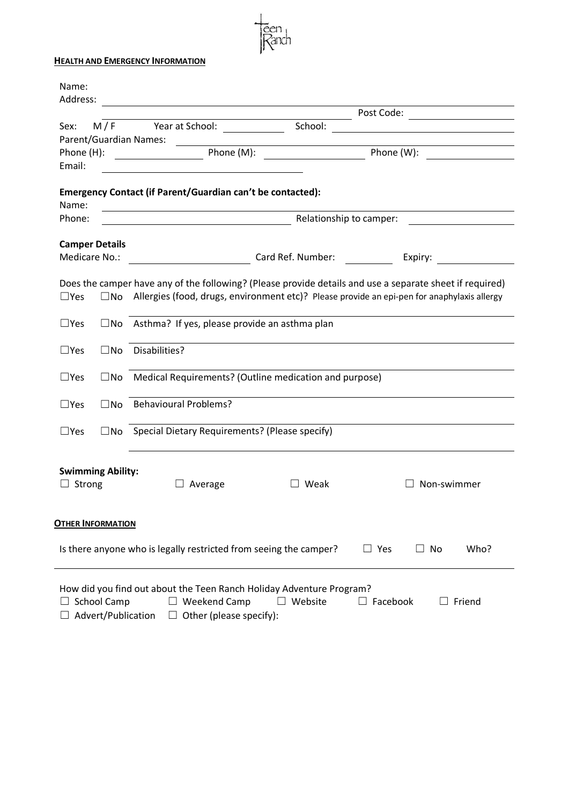#### **HEALTH AND EMERGENCY INFORMATION**

|                 |                          |                                                                                                                      |                                                                      | Post Code: ____________________                                                                          |  |  |  |  |
|-----------------|--------------------------|----------------------------------------------------------------------------------------------------------------------|----------------------------------------------------------------------|----------------------------------------------------------------------------------------------------------|--|--|--|--|
| Sex:            | M/F                      | Year at School: <u>________________</u>                                                                              | School:                                                              | <u> 1989 - Johann Stein, fransk politik (</u>                                                            |  |  |  |  |
|                 |                          | Parent/Guardian Names:                                                                                               |                                                                      |                                                                                                          |  |  |  |  |
|                 |                          |                                                                                                                      |                                                                      |                                                                                                          |  |  |  |  |
| Email:          |                          |                                                                                                                      |                                                                      |                                                                                                          |  |  |  |  |
|                 |                          | Emergency Contact (if Parent/Guardian can't be contacted):                                                           |                                                                      |                                                                                                          |  |  |  |  |
| Name:<br>Phone: |                          | <u> Alexandria de la contrada de la contrada de la contrada de la contrada de la contrada de la contrada de la c</u> | Relationship to camper:                                              |                                                                                                          |  |  |  |  |
|                 |                          |                                                                                                                      |                                                                      |                                                                                                          |  |  |  |  |
| Medicare No.:   | <b>Camper Details</b>    | Card Ref. Number:                                                                                                    |                                                                      | Expiry: <u>________</u>                                                                                  |  |  |  |  |
|                 |                          |                                                                                                                      |                                                                      |                                                                                                          |  |  |  |  |
|                 |                          |                                                                                                                      |                                                                      | Does the camper have any of the following? (Please provide details and use a separate sheet if required) |  |  |  |  |
| $\Box$ Yes      |                          |                                                                                                                      |                                                                      | $\square$ No Allergies (food, drugs, environment etc)? Please provide an epi-pen for anaphylaxis allergy |  |  |  |  |
| $\square$ Yes   | $\square$ No             | Asthma? If yes, please provide an asthma plan                                                                        |                                                                      |                                                                                                          |  |  |  |  |
| $\Box$ Yes      | $\square$ No             | Disabilities?                                                                                                        |                                                                      |                                                                                                          |  |  |  |  |
| $\Box$ Yes      | $\Box$ No                | Medical Requirements? (Outline medication and purpose)                                                               |                                                                      |                                                                                                          |  |  |  |  |
| $\square$ Yes   | $\square$ No             | <b>Behavioural Problems?</b>                                                                                         |                                                                      |                                                                                                          |  |  |  |  |
| $\square$ Yes   |                          | $\square$ No Special Dietary Requirements? (Please specify)                                                          |                                                                      |                                                                                                          |  |  |  |  |
|                 | <b>Swimming Ability:</b> |                                                                                                                      |                                                                      |                                                                                                          |  |  |  |  |
| Strong          |                          | Average                                                                                                              | Weak<br>$\mathsf{L}$                                                 | Non-swimmer                                                                                              |  |  |  |  |
|                 | <b>OTHER INFORMATION</b> |                                                                                                                      |                                                                      |                                                                                                          |  |  |  |  |
|                 |                          | Is there anyone who is legally restricted from seeing the camper?                                                    |                                                                      | Who?<br>$\Box$ Yes<br>$\Box$ No                                                                          |  |  |  |  |
|                 |                          |                                                                                                                      | How did you find out about the Teen Ranch Holiday Adventure Program? |                                                                                                          |  |  |  |  |

<del>č</del>en<br>Zanch